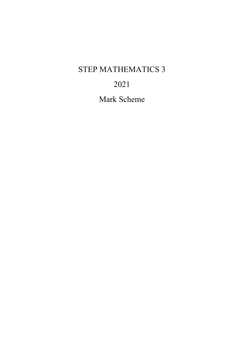# STEP MATHEMATICS 3

# 2021

Mark Scheme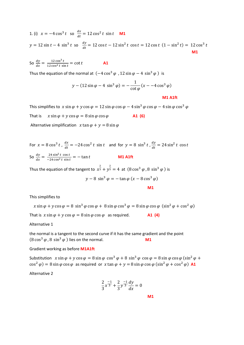1. (i) 
$$
x = -4\cos^3 t
$$
 so  $\frac{dx}{dt} = 12\cos^2 t \sin t$  **M1**  
\n $y = 12\sin t - 4\sin^3 t$  so  $\frac{dy}{dt} = 12\cos t - 12\sin^2 t \cos t = 12\cos t (1 - \sin^2 t) = 12\cos^3 t$ 

So  $\frac{dy}{dx} = \frac{12 \cos^3 t}{12 \cos^2 t \sin t} = \cot t$  **A1** 

Thus the equation of the normal at  $(-4 \cos^3 \varphi, 12 \sin \varphi - 4 \sin^3 \varphi)$  is

$$
y - (12\sin\varphi - 4\sin^3\varphi) = -\frac{1}{\cot\varphi}(x - 4\cos^3\varphi)
$$

**M1 A1ft**

This simplifies to  $x \sin \varphi + y \cos \varphi = 12 \sin \varphi \cos \varphi - 4 \sin^3 \varphi \cos \varphi - 4 \sin \varphi \cos^3 \varphi$ 

That is  $x \sin \varphi + y \cos \varphi = 8 \sin \varphi \cos \varphi$  **A1 (6)** 

Alternative simplification  $x \tan \varphi + y = 8 \sin \varphi$ 

For  $x = 8\cos^3 t$ ,  $\frac{dx}{dt} = -24\cos^2 t \sin t$  and for  $y = 8\sin^3 t$ ,  $\frac{dy}{dt} = 24\sin^2 t \cos t$ So  $\frac{dy}{dx} = \frac{24 \sin^2 t \cos t}{-24 \cos^2 t \sin t} = -\tan t$  **M1 A1ft** 

Thus the equation of the tangent to  $x^{\frac{2}{3}} + y^{\frac{2}{3}} = 4$  at  $(8 \cos^3 \varphi, 8 \sin^3 \varphi)$  is

$$
y - 8\,\sin^3\varphi = -\tan\varphi\,(x - 8\cos^3\varphi)
$$

**M1**

This simplifies to

$$
x \sin \varphi + y \cos \varphi = 8 \sin^3 \varphi \cos \varphi + 8 \sin \varphi \cos^3 \varphi = 8 \sin \varphi \cos \varphi \ ( \sin^2 \varphi + \cos^2 \varphi)
$$
  
That is 
$$
x \sin \varphi + y \cos \varphi = 8 \sin \varphi \cos \varphi
$$
 as required. **A1 (4)**

Alternative 1

the normal is a tangent to the second curve if it has the same gradient and the point  $(8\cos^3\varphi, 8\sin^3\varphi)$  lies on the normal. **M1** 

Gradient working as before **M1A1ft**

Substitution  $x \sin \varphi + y \cos \varphi = 8 \sin \varphi \cos^3 \varphi + 8 \sin^3 \varphi \cos \varphi = 8 \sin \varphi \cos \varphi (\sin^2 \varphi +$  $\cos^2 \varphi$  = 8 sin  $\varphi$  cos  $\varphi$  as required or x tan  $\varphi + y = 8 \sin \varphi \cos \varphi (\sin^2 \varphi + \cos^2 \varphi)$  **A1** 

Alternative 2

$$
\frac{2}{3}x^{\frac{-1}{3}} + \frac{2}{3}y^{\frac{-1}{3}}\frac{dy}{dx} = 0
$$

**M1**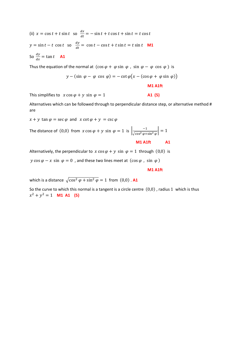(ii)  $x = \cos t + t \sin t$  so  $\frac{dx}{dt} = -\sin t + t \cos t + \sin t = t \cos t$  $y = \sin t - t \cos t$  so  $\frac{dy}{dt} = \cos t - \cos t + t \sin t = t \sin t$  **M1** So  $\frac{dy}{dx} = \tan t$  **A1** 

Thus the equation of the normal at  $(\cos \varphi + \varphi \sin \varphi, \sin \varphi - \varphi \cos \varphi)$  is

$$
y - (\sin \varphi - \varphi \cos \varphi) = -\cot \varphi \big( x - (\cos \varphi + \varphi \sin \varphi) \big)
$$

**M1 A1ft**

This simplifies to  $x \cos \varphi + y \sin \varphi = 1$  **A1 (5)** 

Alternatives which can be followed through to perpendicular distance step, or alternative method # are

 $x + y \tan \varphi = \sec \varphi$  and  $x \cot \varphi + y = \csc \varphi$ 

The distance of  $(0,0)$  from  $x \cos \varphi + y \sin \varphi = 1$  is  $\left| \frac{-1}{\sqrt{\cos^2 \varphi + \sin^2 \varphi}} \right| = 1$ 

 **M1 A1ft A1**

Alternatively, the perpendicular to  $x \cos \varphi + y \sin \varphi = 1$  through  $(0,0)$  is

 $y \cos \varphi - x \sin \varphi = 0$ , and these two lines meet at  $(\cos \varphi, \sin \varphi)$ 

#### **M1 A1ft**

which is a distance  $\sqrt{\cos^2 \varphi + \sin^2 \varphi} = 1$  from  $(0,0)$ . A1

So the curve to which this normal is a tangent is a circle centre  $(0,0)$  , radius 1 which is thus  $x^2 + y^2 = 1$  **M1 A1 (5)**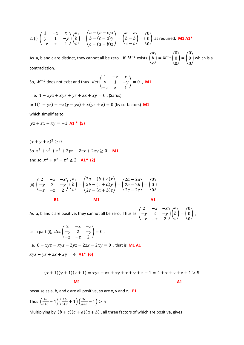2. (i) 
$$
\begin{pmatrix} 1 & -x & x \\ y & 1 & -y \\ -z & z & 1 \end{pmatrix} \begin{pmatrix} a \\ b \\ c \end{pmatrix} = \begin{pmatrix} a - (b - c)x \\ b - (c - a)y \\ c - (a - b)z \end{pmatrix} = \begin{pmatrix} a - a \\ b - b \\ c - c \end{pmatrix} = \begin{pmatrix} 0 \\ 0 \\ 0 \end{pmatrix}
$$
 as required. **M1 A1\***

As a, b and c are distinct, they cannot all be zero. If  $M^{-1}$  exists  $\vert$  $\boldsymbol{a}$  $\boldsymbol{b}$  $\mathcal{C}_{\mathcal{C}}$  $= M^{-1}$  $\boldsymbol{0}$  $\mathbf 0$  $\boldsymbol{0}$  $= |$  $\boldsymbol{0}$  $\mathbf 0$  $\overline{0}$  $\big\}$  which is a contradiction.

So,  $M^{-1}$  does not exist and thus  $\det$ 1  $-x$   $x$  $y \quad 1 \quad -y$  $-z$  z 1  $\big| = 0$  , **M1** 

i.e.  $1 - xyz + xyz + yz + zx + xy = 0$ , (Sarus)

or  $1(1 + yz) - x(y - yz) + x(yz + z) = 0$  (by co-factors) **M1** 

which simplifies to

 $yz + zx + xy = -1$  **A1 \* (5)** 

 $(x + v + z)^2 > 0$ So  $x^2 + y^2 + z^2 + 2yz + 2zx + 2xy > 0$  **M1** and so  $x^2 + y^2 + z^2 > 2$  **A1\* (2)** 

$$
\text{(ii)} \begin{pmatrix} 2 & -x & -x \\ -y & 2 & -y \\ -z & -z & 2 \end{pmatrix} \begin{pmatrix} a \\ b \\ c \end{pmatrix} = \begin{pmatrix} 2a - (b + c)x \\ 2b - (c + a)y \\ 2c - (a + b)z \end{pmatrix} = \begin{pmatrix} 2a - 2a \\ 2b - 2b \\ 2c - 2c \end{pmatrix} = \begin{pmatrix} 0 \\ 0 \\ 0 \end{pmatrix}
$$

**B1** M1 A1

As  $a$ , b and c are positive, they cannot all be zero. Thus as  $\vert$ 2  $-x$   $-x$  $-y$  2  $-y$  $-z$  −z  $\angle$  $\mathcal{H}$  $\alpha$  $\boldsymbol{b}$  $\boldsymbol{c}$  $= |$  $\boldsymbol{0}$  $\boldsymbol{0}$  $\boldsymbol{0}$  $\vert$ ,

as in part (i),  $\ det \big($ 2  $-x$   $-x$  $-y$  2 − y  $-z$  −z 2  $= 0$ , i.e.  $8 - xyz - xyz - 2yz - 2zx - 2xy = 0$ , that is **M1 A1**  $xyz + yz + zx + xy = 4$  **A1\* (6)** 

$$
(x + 1)(y + 1)(z + 1) = xyz + zx + xy + x + y + z + 1 = 4 + x + y + z + 1 > 5
$$
  
M1

because as a, b, and c are all positive, so are x, y and z. **E1**

Thus  $\left(\frac{2a}{b+c} + 1\right) \left(\frac{2b}{c+a} + 1\right) \left(\frac{2c}{a+b} + 1\right) > 5$ 

Multiplying by  $(b + c)(c + a)(a + b)$ , all three factors of which are positive, gives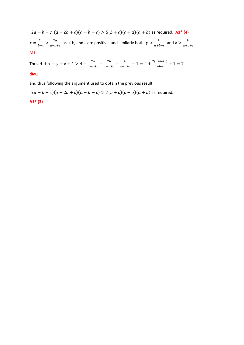$(2a + b + c)(a + 2b + c)(a + b + c) > 5(b + c)(c + a)(a + b)$  as required. **A1<sup>\*</sup> (4)** 

 $x = \frac{2a}{b+c} > \frac{2a}{a+b}$  $\frac{2a}{a+b+c}$  as a, b, and c are positive, and similarly both,  $y > \frac{2b}{a+b}$  $\frac{2b}{a+b+c}$  and  $z > \frac{2c}{a+b}$  $a+b+c$ 

**M1**

Thus  $4 + x + y + z + 1 > 4 + \frac{2a}{a+b+c} + \frac{2b}{a+b+c} + \frac{2c}{a+b+c} + 1 = 4 + \frac{2(a+b+c)}{a+b+c} + 1 = 7$ 

## **dM1**

and thus following the argument used to obtain the previous result

 $(2a + b + c)(a + 2b + c)(a + b + c) > 7(b + c)(c + a)(a + b)$  as required.

## **A1\* (3)**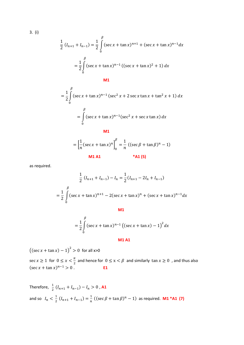$$
3. (i)
$$

$$
\frac{1}{2} (I_{n+1} + I_{n-1}) = \frac{1}{2} \int_{0}^{\beta} (\sec x + \tan x)^{n+1} + (\sec x + \tan x)^{n-1} dx
$$

$$
= \frac{1}{2} \int_{0}^{\beta} (\sec x + \tan x)^{n-1} ((\sec x + \tan x)^2 + 1) dx
$$

$$
\mathsf{M}1
$$

$$
= \frac{1}{2} \int_{0}^{\beta} (\sec x + \tan x)^{n-1} (\sec^2 x + 2 \sec x \tan x + \tan^2 x + 1) dx
$$
  

$$
= \int_{0}^{\beta} (\sec x + \tan x)^{n-1} (\sec^2 x + \sec x \tan x) dx
$$
  
**M1**

$$
= \left[\frac{1}{n}(\sec x + \tan x)^n\right]_0^\beta = \frac{1}{n}((\sec \beta + \tan \beta)^n - 1)
$$
  
**M1 A1** \*A1 (5)

as required.

$$
\frac{1}{2} (I_{n+1} + I_{n-1}) - I_n = \frac{1}{2} (I_{n+1} - 2I_n + I_{n-1})
$$

$$
= \frac{1}{2} \int_0^\beta (\sec x + \tan x)^{n+1} - 2(\sec x + \tan x)^n + (\sec x + \tan x)^{n-1} dx
$$

**M1**

$$
= \frac{1}{2} \int_{0}^{B} (\sec x + \tan x)^{n-1} ((\sec x + \tan x) - 1)^{2} dx
$$

**M1 A1**

 $((\sec x + \tan x) - 1)^2 > 0$  for all x>0 sec  $x \ge 1$  for  $0 \le x < \frac{\pi}{2}$  and hence for  $0 \le x < \beta$  and similarly  $\tan x \ge 0$  , and thus also  $(\sec x + \tan x)^{n-1} > 0$ . **E1** 

Therefore, 
$$
\frac{1}{2} (I_{n+1} + I_{n-1}) - I_n > 0
$$
, **A1**  
and so  $I_n < \frac{1}{2} (I_{n+1} + I_{n-1}) = \frac{1}{n} ((\sec \beta + \tan \beta)^n - 1)$  as required. **M1\*A1 (7)**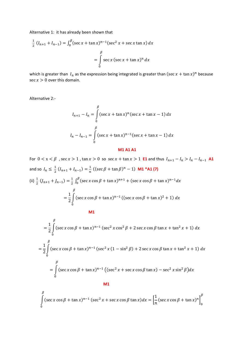Alternative 1: it has already been shown that

$$
\frac{1}{2} (I_{n+1} + I_{n-1}) = \int_0^\beta (\sec x + \tan x)^{n-1} (\sec^2 x + \sec x \tan x) dx
$$

$$
= \int_0^\beta \sec x (\sec x + \tan x)^n dx
$$

which is greater than  $I_n$  as the expression being integrated is greater than  $(\sec x + \tan x)^n$  because sec  $x > 0$  over this domain.

Alternative 2:-

$$
I_{n+1} - I_n = \int_{0}^{\beta} (\sec x + \tan x)^n (\sec x + \tan x - 1) dx
$$
  

$$
I_n - I_{n-1} = \int_{0}^{\beta} (\sec x + \tan x)^{n-1} (\sec x + \tan x - 1) dx
$$

#### **M1 A1 A1**

For  $0 < x < \beta$ , sec  $x > 1$ , tan  $x > 0$  so sec  $x + \tan x > 1$  **E1** and thus  $I_{n+1} - I_n > I_n - I_{n-1}$  **A1** and so  $I_n \leq \frac{1}{2} (I_{n+1} + I_{n-1}) = \frac{1}{n} ((\sec \beta + \tan \beta)^n - 1)$  **M1 \*A1 (7)** (ii)  $\frac{1}{2} (J_{n+1} + J_{n-1}) = \frac{1}{2} \int_0^{\beta} (\sec x \cos \beta + \tan x)^{n+1} + (\sec x \cos \beta + \tan x)^{n-1} dx$  $=\frac{1}{2}\int\limits_{0}^{\infty}(\sec x \cos \beta + \tan x)^{n-1}$ ß  $\boldsymbol{0}$  $((\sec x \cos \beta + \tan x)^2 + 1) d$ **M1**  $=\frac{1}{2}\int\limits_{0}^{\infty}(\sec x \cos \beta + \tan x)^{n-1}$ ß  $\boldsymbol{0}$  $(\sec^2 x \cos^2 \beta + 2 \sec x \cos \beta \tan x + \tan^2 x + 1) d$  $\overline{B}$ 

$$
= \frac{1}{2} \int_{0}^{R} (\sec x \cos \beta + \tan x)^{n-1} (\sec^2 x (1 - \sin^2 \beta) + 2 \sec x \cos \beta \tan x + \tan^2 x + 1) dx
$$
  

$$
= \int_{0}^{R} (\sec x \cos \beta + \tan x)^{n-1} ((\sec^2 x + \sec x \cos \beta \tan x) - \sec^2 x \sin^2 \beta) dx
$$

**M1**

$$
\int_{0}^{\beta} (\sec x \cos \beta + \tan x)^{n-1} (\sec^2 x + \sec x \cos \beta \tan x) dx = \left[ \frac{1}{n} (\sec x \cos \beta + \tan x)^n \right]_{0}^{\beta}
$$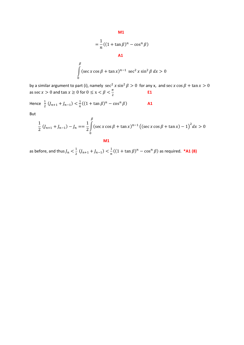$$
= \frac{1}{n}((1 + \tan \beta)^n - \cos^n \beta)
$$
  
**A1**

$$
\int_{0}^{\beta} (\sec x \cos \beta + \tan x)^{n-1} \sec^2 x \sin^2 \beta \, dx > 0
$$

by a similar argument to part (i), namely  $\sec^2 x \sin^2 \beta > 0$  for any x, and  $\sec x \cos \beta + \tan x > 0$ as sec *x* > 0 and  $\tan x \ge 0$  for  $0 \le x < \beta < \frac{\pi}{2}$  **E1** 

Hence 
$$
\frac{1}{2} (J_{n+1} + J_{n-1}) < \frac{1}{n} ((1 + \tan \beta)^n - \cos^n \beta)
$$
 A1

But

$$
\frac{1}{2} (J_{n+1} + J_{n-1}) - J_n = \frac{1}{2} \int_0^\beta (\sec x \cos \beta + \tan x)^{n-1} ((\sec x \cos \beta + \tan x) - 1)^2 dx > 0
$$

**M1**

as before, and thus  $J_n < \frac{1}{2} (J_{n+1} + J_{n-1}) < \frac{1}{n} ((1 + \tan \beta)^n - \cos^n \beta)$  as required. **\*A1 (8)**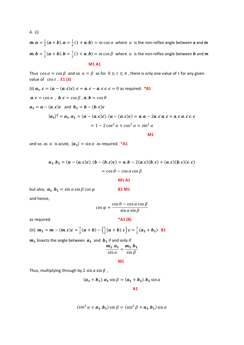$m \cdot a = \frac{1}{2}(a + b) \cdot a = \frac{1}{2}(1 + a \cdot b) = m \cos \alpha$  where  $\alpha$  is the non-reflex angle between **a** and **m**  $m.b = \frac{1}{2}(a + b).b = \frac{1}{2}(1 + a.b) = m \cos \beta$  where  $\alpha$  is the non-reflex angle between b and m

**M1 A1**

Thus  $\cos \alpha = \cos \beta$  and so  $\alpha = \beta$  as for  $0 \le \tau \le \pi$ , there is only one value of  $\tau$  for any given value of  $\cos \tau$  **E1(3)** 

(ii) 
$$
a_1 \cdot c = (a - (a \cdot c)c) \cdot c = a \cdot c - a \cdot c \cdot c = 0
$$
 as required. \*B1  
\n $a \cdot c = \cos \alpha$ ,  $b \cdot c = \cos \beta$ ,  $a \cdot b = \cos \theta$   
\n $a_1 = a - (a \cdot c)c$  and  $b_1 = b - (b \cdot c)c$   
\n $|a_1|^2 = a_1 \cdot a_1 = (a - (a \cdot c)c) \cdot (a - (a \cdot c)c) = a \cdot a - 2a \cdot c \cdot a \cdot c + a \cdot c \cdot c \cdot c$   
\n $= 1 - 2 \cos^2 \alpha + \cos^2 \alpha = \sin^2 \alpha$ 

**M1**

and so. as  $\alpha$  is acute,  $|\boldsymbol{a}_1| = \sin \alpha$  as required. **\*A1** 

$$
a_1 \cdot b_1 = (a - (a \cdot c)c) \cdot (b - (b \cdot c)c) = a \cdot b - 2(a \cdot c)(b \cdot c) + (a \cdot c)(b \cdot c)(c \cdot c)
$$

$$
= \cos \theta - \cos \alpha \cos \beta
$$

**M1 A1**

but also,  $a_1.b_1 = \sin \alpha \sin \beta \cos \varphi$  **B1 M1** and hence,

$$
\cos \varphi = \frac{\cos \theta - \cos \alpha \cos \beta}{\sin \alpha \sin \beta}
$$

as required. **\*A1 (8)**

(iii) 
$$
m_1 = m - (m.c)c = \frac{1}{2}(a+b) - (\frac{1}{2}(a+b).c)c = \frac{1}{2}(a_1+b_1)
$$
 B1

 $m_1$  bisects the angle between  $a_1$  and  $b_1$  if and only if

$$
\frac{m_1 \cdot a_1}{\sin \alpha} = \frac{m_1 \cdot b_1}{\sin \beta}
$$

**M1**

Thus, multiplying through by 2 sin  $\alpha$  sin  $\beta$ ,

$$
(a_1 + b_1). a_1 \sin \beta = (a_1 + b_1). b_1 \sin \alpha
$$
  
**A1**

$$
(\sin^2 \alpha + a_1.b_1)\sin \beta = (\sin^2 \beta + a_1.b_1)\sin \alpha
$$

4. (i)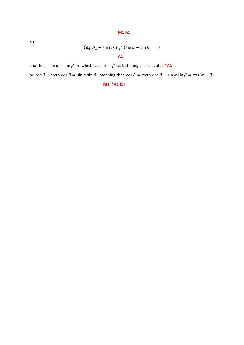### **M1 A1**

So

$$
(\boldsymbol{a_1}.\boldsymbol{b_1} - \sin \alpha \sin \beta)(\sin \alpha - \sin \beta) = 0
$$

## **A1**

and thus,  $\sin \alpha = \sin \beta$  in which case  $\alpha = \beta$  as both angles are acute, \*A1

or  $\cos \theta - \cos \alpha \cos \beta = \sin \alpha \sin \beta$ , meaning that  $\cos \theta = \cos \alpha \cos \beta + \sin \alpha \sin \beta = \cos(\alpha - \beta)$ 

**M1 \*A1 (9)**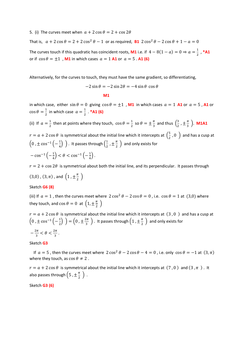5. (i) The curves meet when  $a + 2 \cos \theta = 2 + \cos 2\theta$ That is,  $a + 2\cos\theta = 2 + 2\cos^2\theta - 1$  or as required, **B1**  $2\cos^2\theta - 2\cos\theta + 1 - a = 0$ The curves touch if this quadratic has coincident roots, **M1** i.e. if  $4 - 8(1 - a) = 0 \Rightarrow a = \frac{1}{2}$ , **\*A1** or if  $\cos \theta = \pm 1$ , **M1** in which cases  $a = 1$  **A1** or  $a = 5$ . **A1** (6)

Alternatively, for the curves to touch, they must have the same gradient, so differentiating,

$$
-2\sin\theta = -2\sin 2\theta = -4\sin\theta \cos\theta
$$

**M1**

in which case, either  $\sin \theta = 0$  giving  $\cos \theta = \pm 1$ , **M1** in which cases  $a = 1$  **A1** or  $a = 5$ , **A1** or  $\cos \theta = \frac{1}{2}$  in which case  $a = \frac{1}{2}$ . **\*A1 (6)** 

(ii) If  $a=\frac{1}{2}$  then at points where they touch,  $\cos\theta=\frac{1}{2}$  so  $\theta=\pm\frac{\pi}{3}$  and thus  $\left(\frac{3}{2},\pm\frac{\pi}{3}\right)$ . **M1A1**  $r = a + 2 \cos \theta$  is symmetrical about the initial line which it intercepts at  $\left(\frac{5}{2}, 0\right)$  and has a cusp at  $\left(0, \pm \cos^{-1}\left(-\frac{1}{4}\right)\right)$ . It passes through  $\left(\frac{1}{2}, \pm \frac{\pi}{2}\right)$  and only exists for  $-\cos^{-1}\left(-\frac{1}{4}\right) < \theta < \cos^{-1}\left(-\frac{1}{4}\right).$ 

 $r = 2 + \cos 2\theta$  is symmetrical about both the initial line, and its perpendicular. It passes through  $(3,0)$  ,  $(3,\pi)$  , and  $\left(1, \pm \frac{\pi}{2}\right)$ 

## Sketch **G6 (8)**

(iii) If  $a = 1$ , then the curves meet where  $2 \cos^2 \theta - 2 \cos \theta = 0$ , i.e.  $\cos \theta = 1$  at (3,0) where they touch, and  $\cos \theta = 0$  at  $\left(1, \pm \frac{\pi}{2}\right)$ 

$$
r = a + 2 \cos \theta
$$
 is symmetrical about the initial line which it intercepts at  $(3, 0)$  and has a cusp at  $\left(0, \pm \cos^{-1}\left(-\frac{1}{2}\right)\right) = \left(0, \pm \frac{2\pi}{3}\right)$ . It passes through  $\left(1, \pm \frac{\pi}{2}\right)$  and only exists for  $-\frac{2\pi}{3} < \theta < \frac{2\pi}{3}$ .

Sketch **G3**

If  $a = 5$ , then the curves meet where  $2 \cos^2 \theta - 2 \cos \theta - 4 = 0$ , i.e. only  $\cos \theta = -1$  at  $(3, \pi)$ where they touch, as  $\cos \theta \neq 2$ .

 $r = a + 2 \cos \theta$  is symmetrical about the initial line which it intercepts at (7,0) and (3, $\pi$ ). It also passes through  $\left(5, \pm \frac{\pi}{2} \right)$ .

Sketch **G3 (6)**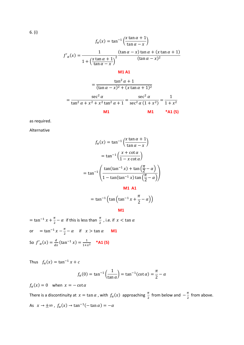$$
f_{\alpha}(x) = \tan^{-1}\left(\frac{x \tan \alpha + 1}{\tan \alpha - x}\right)
$$

$$
f'_{\alpha}(x) = \frac{1}{1 + \left(\frac{x \tan \alpha + 1}{\tan \alpha - x}\right)^2} \frac{(\tan \alpha - x) \tan \alpha + (x \tan \alpha + 1)}{(\tan \alpha - x)^2}
$$

**M1 A1**

$$
= \frac{\tan^2 \alpha + 1}{(\tan \alpha - x)^2 + (x \tan \alpha + 1)^2}
$$

$$
= \frac{\sec^2 \alpha}{\tan^2 \alpha + x^2 + x^2 \tan^2 \alpha + 1} = \frac{\sec^2 \alpha}{\sec^2 \alpha (1 + x^2)} = \frac{1}{1 + x^2}
$$

as required.

Alternative

$$
f_{\alpha}(x) = \tan^{-1}\left(\frac{x \tan \alpha + 1}{\tan \alpha - x}\right)
$$

$$
= \tan^{-1}\left(\frac{x + \cot \alpha}{1 - x \cot \alpha}\right)
$$

$$
= \tan^{-1}\left(\frac{\tan(\tan^{-1} x) + \tan\left(\frac{\pi}{2} - \alpha\right)}{1 - \tan(\tan^{-1} x) \tan\left(\frac{\pi}{2} - \alpha\right)}\right)
$$

$$
= \tan^{-1}\left(\tan\left(\tan^{-1}x + \frac{\pi}{2} - \alpha\right)\right)
$$

**M1**

 $=$  tan<sup>-1</sup>  $x + \frac{\pi}{2} - \alpha$  if this is less than  $\frac{\pi}{2}$  , i.e. if  $x < \tan \alpha$ or  $= \tan^{-1} x - \frac{\pi}{2} - \alpha$  if  $x > \tan \alpha$  **M1** So  $f'_\alpha(x) = \frac{d}{dx}(\tan^{-1}x) = \frac{1}{1+x^2}$  **\*A1 (5)** 

Thus  $f_{\alpha}(x) = \tan^{-1} x + c$ 

$$
f_{\alpha}(0) = \tan^{-1}\left(\frac{1}{\tan \alpha}\right) = \tan^{-1}(\cot \alpha) = \frac{\pi}{2} - \alpha
$$

 $f_{\alpha}(x) = 0$  when  $x = -\cot \alpha$ 

There is a discontinuity at  $x = \tan \alpha$  , with  $f_\alpha(x)$  approaching  $\frac{\pi}{2}$  from below and  $-\frac{\pi}{2}$  from above. As  $x \to \pm \infty$ ,  $f_\alpha(x) \to \tan^{-1}(-\tan \alpha) = -\alpha$ 

6. (i)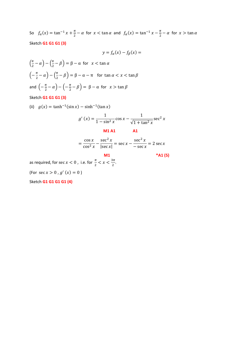So  $f_{\alpha}(x) = \tan^{-1} x + \frac{\pi}{2} - \alpha$  for  $x < \tan \alpha$  and  $f_{\alpha}(x) = \tan^{-1} x - \frac{\pi}{2} - \alpha$  for  $x > \tan \alpha$ Sketch **G1 G1 G1 (3)**

$$
y = f_{\alpha}(x) - f_{\beta}(x) =
$$

$$
\left(\frac{\pi}{2} - \alpha\right) - \left(\frac{\pi}{2} - \beta\right) = \beta - \alpha \text{ for } x < \tan \alpha
$$
\n
$$
\left(-\frac{\pi}{2} - \alpha\right) - \left(\frac{\pi}{2} - \beta\right) = \beta - \alpha - \pi \text{ for } \tan \alpha < x < \tan \beta
$$
\n
$$
\text{and } \left(-\frac{\pi}{2} - \alpha\right) - \left(-\frac{\pi}{2} - \beta\right) = \beta - \alpha \text{ for } x > \tan \beta
$$

Sketch **G1 G1 G1 (3)**

(ii) 
$$
g(x) = \tanh^{-1}(\sin x) - \sinh^{-1}(\tan x)
$$

$$
g'(x) = \frac{1}{1 - \sin^2 x} \cos x - \frac{1}{\sqrt{1 + \tan^2 x}} \sec^2 x
$$
  
M1 A1  

$$
= \frac{\cos x}{\cos^2 x} - \frac{\sec^2 x}{|\sec x|} = \sec x - \frac{\sec^2 x}{-\sec x} = 2 \sec x
$$

**M1 \*A1 (5)**

as required, for  $\sec x < 0$  , i.e. for  $\frac{\pi}{2} < x < \frac{3\pi}{2}$ .

(For  $\sec x > 0$ ,  $g'(x) = 0$ )

Sketch **G1 G1 G1 G1 (4)**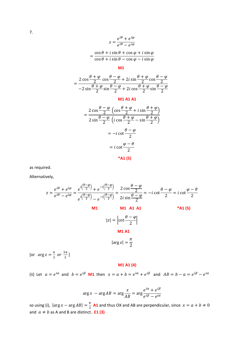$$
z = \frac{e^{i\theta} + e^{i\varphi}}{e^{i\theta} - e^{i\varphi}}
$$

$$
= \frac{\cos\theta + i\sin\theta + \cos\varphi + i\sin\varphi}{\cos\theta + i\sin\theta - \cos\varphi - i\sin\varphi}
$$

#### **M1**

$$
= \frac{2\cos\frac{\theta+\varphi}{2}\cos\frac{\theta-\varphi}{2} + 2i\sin\frac{\theta+\varphi}{2}\cos\frac{\theta-\varphi}{2}}{-2\sin\frac{\theta+\varphi}{2}\sin\frac{\theta-\varphi}{2} + 2i\cos\frac{\theta+\varphi}{2}\sin\frac{\theta-\varphi}{2}}
$$

#### **M1 A1 A1**

$$
= \frac{2 \cos \frac{\theta - \varphi}{2} \left( \cos \frac{\theta + \varphi}{2} + i \sin \frac{\theta + \varphi}{2} \right)}{2 \sin \frac{\theta - \varphi}{2} \left( i \cos \frac{\theta + \varphi}{2} - \sin \frac{\theta + \varphi}{2} \right)}
$$

$$
= -i \cot \frac{\theta - \varphi}{2}
$$

$$
= i \cot \frac{\varphi - \theta}{2}
$$

$$
* \text{A1 (5)}
$$

as required.

Alternatively,

$$
z = \frac{e^{i\theta} + e^{i\varphi}}{e^{i\theta} - e^{i\varphi}} = \frac{e^{i(\frac{\theta - \varphi}{2})} + e^{-i(\frac{\theta - \varphi}{2})}}{e^{i(\frac{\theta - \varphi}{2})} - e^{-i(\frac{\theta - \varphi}{2})}} = \frac{2 \cos \frac{\theta - \varphi}{2}}{2i \sin \frac{\theta - \varphi}{2}} = -i \cot \frac{\theta - \varphi}{2} = i \cot \frac{\varphi - \theta}{2}
$$
  
\nM1 M 41 A1 \*A1 \*A1 \*A1  
\n
$$
|z| = \left| \cot \frac{\theta - \varphi}{2} \right|
$$
  
\nM1 A1  
\n
$$
|\arg z| = \frac{\pi}{2}
$$

[or  $\arg z = \frac{\pi}{2}$  or  $\frac{3\pi}{2}$ ]

## **M1 A1 (4)**

(ii) Let  $a = e^{i\alpha}$  and  $b = e^{i\beta}$  **M1** then  $x = a + b = e^{i\alpha} + e^{i\beta}$  and  $AB = b - a = e^{i\beta} - e^{i\alpha}$ 

$$
\arg x - \arg AB = \arg \frac{x}{AB} = \arg \frac{e^{i\alpha} + e^{i\beta}}{e^{i\beta} - e^{i\alpha}}
$$

so using (i),  $|\arg x - \arg AB| = \frac{\pi}{2}$  **A1** and thus OX and AB are perpendicular, since  $x = a + b \neq 0$ and  $a \neq b$  as A and B are distinct. **E1 (3)**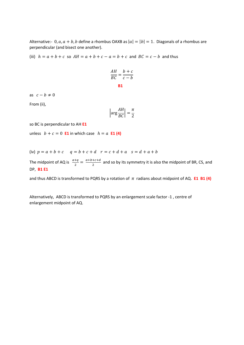Alternative:- 0,  $a$ ,  $a + b$ ,  $b$  define a rhombus OAXB as  $|a| = |b| = 1$ . Diagonals of a rhombus are perpendicular (and bisect one another).

(iii)  $h = a + b + c$  so  $AH = a + b + c - a = b + c$  and  $BC = c - b$  and thus

$$
\frac{AH}{BC} = \frac{b+c}{c-b}
$$

**B1**

as  $c - b \neq 0$ 

From (ii),

$$
\left|\arg \frac{AH}{BC}\right| = \frac{\pi}{2}
$$

so BC is perpendicular to AH **E1**

unless  $b + c = 0$  **E1** in which case  $h = a$  **E1 (4)** 

(iv) 
$$
p = a + b + c
$$
  $q = b + c + d$   $r = c + d + a$   $s = d + a + b$ 

The midpoint of AQ is  $\frac{a+q}{2} = \frac{a+b+c+d}{2}$  and so by its symmetry it is also the midpoint of BR, CS, and DP, **B1 E1**

and thus ABCD is transformed to PQRS by a rotation of  $\pi$  radians about midpoint of AQ. **E1 B1 (4)** 

Alternatively,ABCD is transformed to PQRS by an enlargement scale factor -1 , centre of enlargement midpoint of AQ.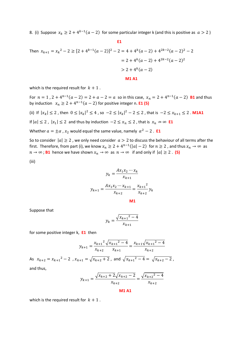8. (i) Suppose  $x_k \geq 2 + 4^{k-1}(a-2)$  for some particular integer k (and this is positive as  $a > 2$ )

#### **E1 E1**

Then 
$$
x_{k+1} = x_k^2 - 2 \ge [2 + 4^{k-1}(a-2)]^2 - 2 = 4 + 4^k(a-2) + 4^{2k-2}(a-2)^2 - 2
$$
  
\n
$$
= 2 + 4^k(a-2) + 4^{2k-2}(a-2)^2
$$
\n
$$
> 2 + 4^k(a-2)
$$
\n**M1 A1**

which is the required result for  $k + 1$ .

For  $n = 1$ ,  $2 + 4^{n-1}(a - 2) = 2 + a - 2 = a$  so in this case,  $x_n = 2 + 4^{n-1}(a - 2)$  **B1** and thus by induction  $x_n \ge 2 + 4^{n-1}(a-2)$  for positive integer n. **E1 (5)** 

(ii) If  $|x_k| \leq 2$ , then  $0 \leq |x_k|^2 \leq 4$ , so  $-2 \leq |x_k|^2 - 2 \leq 2$ , that is  $-2 \leq x_{k+1} \leq 2$ . **M1A1** 

If  $|a| \le 2$ ,  $|x_1| \le 2$  and thus by induction  $-2 \le x_n \le 2$ , that is  $x_n \nleftrightarrow \infty$  **E1** 

Whether  $a = \pm \alpha$ ,  $x_2$  would equal the same value, namely  $\alpha^2 - 2$ . **E1** 

So to consider  $|a| \ge 2$ , we only need consider  $a > 2$  to discuss the behaviour of all terms after the first. Therefore, from part (i), we know  $x_n \geq 2 + 4^{n-1}(|a| - 2)$  for  $n \geq 2$ , and thus  $x_n \to \infty$  as  $n \to \infty$ ; **B1** hence we have shown  $x_n \to \infty$  as  $n \to \infty$  if and only if  $|a| \ge 2$ . (5)

(iii)

$$
y_k = \frac{Ax_1 x_2 \cdots x_k}{x_{k+1}}
$$

$$
y_{k+1} = \frac{Ax_1 x_2 \cdots x_{k+1}}{x_{k+2}} = \frac{x_{k+1}^2}{x_{k+2}} y_k
$$

Suppose that

$$
y_k = \frac{\sqrt{{x_{k+1}}^2 - 4}}{x_{k+1}}
$$

for some positive integer k, **E1** then

$$
y_{k+1} = \frac{x_{k+1}^2}{x_{k+2}} \frac{\sqrt{x_{k+1}^2 - 4}}{x_{k+1}} = \frac{x_{k+1}\sqrt{x_{k+1}^2 - 4}}{x_{k+2}}
$$

As  $x_{k+2} = x_{k+1}^2 - 2$  ,  $x_{k+1} = \sqrt{x_{k+2} + 2}$ , and  $\sqrt{x_{k+1}^2 - 4} = \sqrt{x_{k+2} - 2}$ , and thus,

$$
y_{k+1} = \frac{\sqrt{x_{k+2} + 2}\sqrt{x_{k+2} - 2}}{x_{k+2}} = \frac{\sqrt{x_{k+2}^2 - 4}}{x_{k+2}}
$$

**M1 A1**

which is the required result for  $k + 1$ .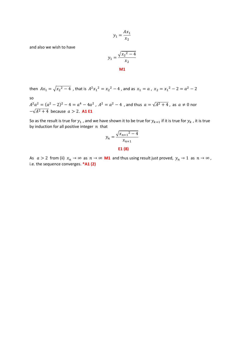$$
y_1 = \frac{Ax_1}{x_2}
$$

and also we wish to have

$$
y_1 = \frac{\sqrt{x_2^2 - 4}}{x_2}
$$
  
M1

then 
$$
Ax_1 = \sqrt{x_2^2 - 4}
$$
, that is  $A^2x_1^2 = x_2^2 - 4$ , and as  $x_1 = a$ ,  $x_2 = x_1^2 - 2 = a^2 - 2$   
so

 $A^2a^2 = (a^2 - 2)^2 - 4 = a^4 - 4a^2$ ,  $A^2 = a^2 - 4$ , and thus  $a = \sqrt{A^2 + 4}$ , as  $a \neq 0$  nor  $-\sqrt{A^2 + 4}$  because  $a > 2$ . **A1 E1** 

So as the result is true for  $y_1$  , and we have shown it to be true for  $y_{k+1}$  if it is true for  $y_k$  , it is true by induction for all positive integer  $n$  that

$$
y_n = \frac{\sqrt{{x_{n+1}}^2 - 4}}{x_{n+1}}
$$

**E1 (8)**

As  $a > 2$  from (ii)  $x_n \to \infty$  as  $n \to \infty$  **M1** and thus using result just proved,  $y_n \to 1$  as  $n \to \infty$ , i.e. the sequence converges. **\*A1 (2)**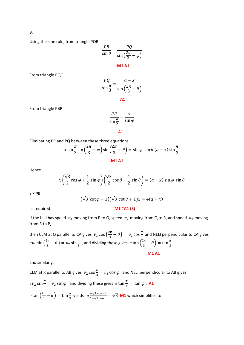9.

Using the sine rule, from triangle PQR

$$
\frac{PR}{\sin \theta} = \frac{PQ}{\sin\left(\frac{2\pi}{3} - \varphi\right)}
$$
  
M1 A1

From triangle PQC

$$
\frac{PQ}{\sin\frac{\pi}{3}} = \frac{a - x}{\sin\left(\frac{2\pi}{3} - \theta\right)}
$$

**A1**

From triangle PBR

$$
\frac{PR}{\sin \frac{\pi}{3}} = \frac{x}{\sin \varphi}
$$

**A1** 

Eliminating PR and PQ between these three equations

$$
x \sin \frac{\pi}{3} \sin \left(\frac{2\pi}{3} - \varphi\right) \sin \left(\frac{2\pi}{3} - \theta\right) = \sin \varphi \sin \theta \left(a - x\right) \sin \frac{\pi}{3}
$$
  
**M1 A1**

Hence

$$
x\left(\frac{\sqrt{3}}{2}\cos\varphi + \frac{1}{2}\sin\varphi\right)\left(\frac{\sqrt{3}}{2}\cos\theta + \frac{1}{2}\sin\theta\right) = (a - x)\sin\varphi\sin\theta
$$

giving

$$
(\sqrt{3}\cot\varphi+1)(\sqrt{3}\cot\theta+1)x=4(a-x)
$$

as required. **M1 \*A1 (8)**

## If the ball has speed  $v_1$  moving from P to Q, speed  $v_2$  moving from Q to R, and speed  $v_3$  moving from R to P,

then CLM at Q parallel to CA gives  $v_1 \cos(\frac{2\pi}{3} - \theta) = v_2 \cos\frac{\pi}{3}$  and NELI perpendicular to CA gives  $v_1 \sin\left(\frac{2\pi}{3} - \theta\right) = v_2 \sin\frac{\pi}{3}$  , and dividing these gives  $e \tan\left(\frac{2\pi}{3} - \theta\right) = \tan\frac{\pi}{3}$ **M1 A1**

and similarly,

CLM at R parallel to AB gives  $v_2 \cos \frac{\pi}{3} = v_3 \cos \varphi$  and NELI perpendicular to AB gives  $v_2 \sin \frac{\pi}{3} = v_3 \sin \varphi$  , and dividing these gives  $e \tan \frac{\pi}{3} = \tan \varphi$ . **A1**  $\tan\left(\frac{2\pi}{3}-\theta\right)=\tan\frac{\pi}{3}$  yields  $e^{\frac{-\sqrt{3}-\tan\theta}{1-\sqrt{3}\tan\theta}}=\sqrt{3}$  **M1** which simplifies to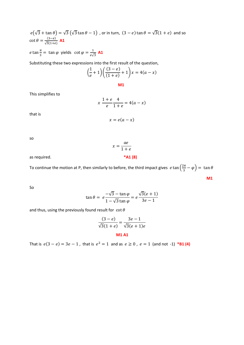$(\sqrt{3} + \tan \theta) = \sqrt{3} (\sqrt{3} \tan \theta - 1)$ , or in turn,  $(3 - e) \tan \theta = \sqrt{3}(1 + e)$  and so  $\cot \theta = \frac{(3-e)}{\sqrt{3}(1+e)}$  **A1**  $\tan \frac{\pi}{3} = \tan \varphi$  yields  $\cot \varphi = \frac{1}{e\sqrt{3}}$  **A1** 

Substituting these two expressions into the first result of the question,

$$
\left(\frac{1}{e} + 1\right)\left(\frac{(3-e)}{(1+e)} + 1\right)x = 4(a-x)
$$

**M1**

This simplifies to

$$
x \frac{1+e}{e} \frac{4}{1+e} = 4(a-x)
$$

that is

$$
x=e(a-x)
$$

so

as required. **\*A1 (8)**

To continue the motion at P, then similarly to before, the third impact gives  $e \tan \left(\frac{2\pi}{3} - \varphi \right) = \tan \theta$ **M1**

 $x = \frac{a e}{1 + a}$ 

So

$$
\tan \theta = e^{\frac{-\sqrt{3} - \tan \varphi}{1 - \sqrt{3} \tan \varphi}} = e^{\frac{\sqrt{3}(e+1)}{3e-1}}
$$

and thus, using the previously found result for  $\cot \theta$ 

$$
\frac{(3-e)}{\sqrt{3}(1+e)} = \frac{3e-1}{\sqrt{3}(e+1)e}
$$
  
**M1 A1**

That is  $e(3 - e) = 3e - 1$ , that is  $e^2 = 1$  and as  $e \ge 0$ ,  $e = 1$  (and not -1) **\*B1(4)**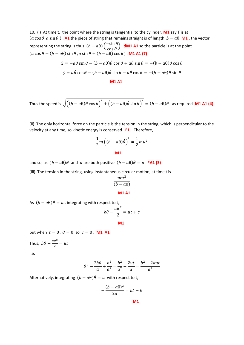10. (i) At time t, the point where the string is tangential to the cylinder, **M1** say T is at  $(a \cos \theta, a \sin \theta)$ , **A1** the piece of string that remains straight is of length  $b - a\theta$ , **M1**, the vector representing the string is thus  $(b - a\theta) \begin{pmatrix} -\sin \theta \\ \cos \theta \end{pmatrix}$  dM1 A1 so the particle is at the point  $(a \cos \theta - (b - a\theta) \sin \theta$ ,  $a \sin \theta + (b - a\theta) \cos \theta)$ . **M1 A1 (7)** 

$$
\dot{x} = -a\dot{\theta}\sin\theta - (b - a\theta)\dot{\theta}\cos\theta + a\dot{\theta}\sin\theta = -(b - a\theta)\dot{\theta}\cos\theta
$$
  

$$
\dot{y} = a\dot{\theta}\cos\theta - (b - a\theta)\dot{\theta}\sin\theta - a\dot{\theta}\cos\theta = -(b - a\theta)\dot{\theta}\sin\theta
$$

**M1 A1**

Thus the speed is 
$$
\sqrt{\left((b - a\theta)\dot{\theta}\cos\theta\right)^2 + \left((b - a\theta)\dot{\theta}\sin\theta\right)^2} = (b - a\theta)\dot{\theta}
$$
 as required. **M1 A1 (4)**

(ii) The only horizontal force on the particle is the tension in the string, which is perpendicular to the velocity at any time, so kinetic energy is conserved. **E1** Therefore,

$$
\frac{1}{2}m\left((b-a\theta)\dot{\theta}\right)^2 = \frac{1}{2}mu^2
$$
  
**M1**

and so, as  $(b - a\theta)\theta$  and u are both positive  $(b - a\theta)\theta = u * A1$  (3)

(iii) The tension in the string, using instantaneous circular motion, at time t is

$$
\frac{mu^2}{(b-a\theta)}
$$
  
**M1 A1**

As  $(b - a\theta)\dot{\theta} = u$ , integrating with respect to t,

$$
b\theta - \frac{a\theta^2}{2} = ut + c
$$

$$
\mathbf{M} \mathbf{1}
$$

but when  $t = 0$ ,  $\theta = 0$  so  $c = 0$ . **M1 A1** 

Thus, 
$$
b\theta - \frac{a\theta^2}{2} = ut
$$

i.e.

$$
\theta^2 - \frac{2b\theta}{a} + \frac{b^2}{a^2} = \frac{b^2}{a^2} - \frac{2ut}{a} = \frac{b^2 - 2aut}{a^2}
$$

Alternatively, integrating  $(b - a\theta)\dot{\theta} = u$  with respect to t,

$$
-\frac{(b-a\theta)^2}{2a} = ut + k
$$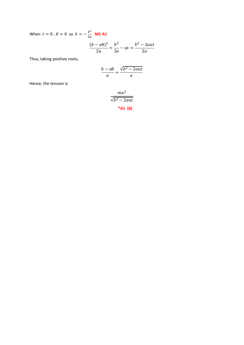When  $t = 0$ ,  $\theta = 0$  so  $k = -\frac{b^2}{2a}$  **M1 A1** 

$$
\frac{(b-a\theta)^2}{2a} = \frac{b^2}{2a} - ut = \frac{b^2 - 2aut}{2a}
$$

Thus, taking positive roots,

$$
\frac{b-a\theta}{a} = \frac{\sqrt{b^2 - 2aut}}{a}
$$

Hence, the tension is

$$
\frac{mu^2}{\sqrt{b^2 - 2aut}}
$$
\n\***A1 (6)**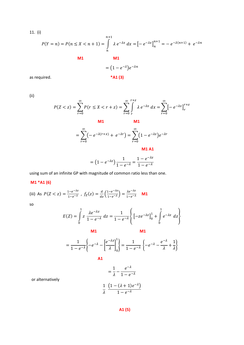11. (i)

$$
P(Y = n) = P(n \le X < n + 1) = \int_{n}^{n+1} \lambda e^{-\lambda x} dx = [-e^{-\lambda x}]_{n}^{n+1} = -e^{-\lambda(n+1)} + e^{-\lambda n}
$$
  
  
M1  

$$
= (1 - e^{-\lambda})e^{-\lambda n}
$$

as required. **\*A1 (3)**

(ii)

$$
P(Z < z) = \sum_{r=0}^{\infty} P(r \le X < r + z) = \sum_{r=0}^{\infty} \int_{r}^{r+z} \lambda \, e^{-\lambda x} \, dx = \sum_{r=0}^{\infty} \left[ -e^{-\lambda x} \right]_{r}^{r+z}
$$
\nM1

\nM1

$$
= \sum_{r=0}^{\infty} \left( -e^{-\lambda(r+x)} + e^{-\lambda r} \right) = \sum_{r=0}^{\infty} \left( 1 - e^{-\lambda z} \right) e^{-\lambda r}
$$

*M1 A1* 

$$
= (1 - e^{-\lambda z}) \frac{1}{1 - e^{-\lambda}} = \frac{1 - e^{-\lambda z}}{1 - e^{-\lambda}}
$$

using sum of an infinite GP with magnitude of common ratio less than one.

# **M1 \*A1 (6)**

(iii) As  $P(Z < z) = \frac{1-e^{-\lambda z}}{1-e^{-\lambda}}$ ,  $f_Z(z) = \frac{d}{dz} \left( \frac{1-e^{-\lambda z}}{1-e^{-\lambda}} \right) = \frac{\lambda e^{-\lambda z}}{1-e^{-\lambda}}$  **M1** 

so

$$
E(Z) = \int_{0}^{1} z \frac{\lambda e^{-\lambda z}}{1 - e^{-\lambda}} dz = \frac{1}{1 - e^{-\lambda}} \left\{ \left[ -ze^{-\lambda z} \right]_{0}^{1} + \int_{0}^{1} e^{-\lambda z} dz \right\}
$$
  
\n**M1**  
\n**M1**  
\n**M1**  
\n**M1**  
\n**M1**  
\n**M2**  
\n**M3**  
\n**M4**  
\n**4**  
\n**4**  
\n**4**  
\n**4**  
\n**4**  
\n**4**  
\n**4**  
\n**4**  
\n**4**  
\n**4**  
\n**4**  
\n**4**  
\n**4**  
\n**4**  
\n**4**  
\n**4**  
\n**4**  
\n**4**  
\n**4**  
\n**4**  
\n**4**  
\n**4**  
\n**4**  
\n**4**  
\n**4**  
\n**4**  
\n**4**  
\n**4**  
\n**4**  
\n**4**  
\n**4**  
\n**4**  
\n**4**  
\n**4**  
\n**4**  
\n**4**  
\n**4**  
\n**4**  
\n**4**  
\n**4**  
\n**4**  
\n**4**  
\n**4**  
\n**4**  
\n**4**  
\n**4**  
\n**4**  
\n**4**  
\n**4**  
\n**4**  
\n**4**  
\n**4**  
\n**4**  
\n**4**  
\n**4**  
\n**4**  
\n**4**  
\n**4**  
\n**4**  
\n**4**  
\n**4**  
\n**4**  
\n**4**  
\n**4**  
\n**4**  
\n**4**  
\n

or alternatively

$$
\frac{1}{\lambda} \frac{\left(1 - (\lambda + 1)e^{-\lambda}\right)}{1 - e^{-\lambda}}
$$

$$
A1 (5)
$$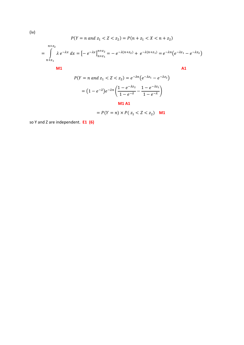$$
P(Y = n \text{ and } z_1 < Z < z_2) = P(n + z_1 < X < n + z_2)
$$
\n
$$
= \int_{n+z_1}^{n+z_2} \lambda \, e^{-\lambda x} \, dx = \left[ -e^{-\lambda x} \right]_{n+z_1}^{n+z_2} = -e^{-\lambda(n+z_2)} + e^{-\lambda(n+z_1)} = e^{-\lambda n} \left( e^{-\lambda z_1} - e^{-\lambda z_2} \right)
$$
\nM1

\nM1

$$
P(Y = n \text{ and } z_1 < Z < z_2) = e^{-\lambda n} \left( e^{-\lambda z_1} - e^{-\lambda z_2} \right)
$$
\n
$$
= \left( 1 - e^{-\lambda} \right) e^{-\lambda n} \left( \frac{1 - e^{-\lambda z_2}}{1 - e^{-\lambda}} - \frac{1 - e^{-\lambda z_1}}{1 - e^{-\lambda}} \right)
$$
\nM1 A1

$$
= P(Y = n) \times P(z_1 < Z < z_2) \quad \text{M1}
$$

so Y and Z are independent. **E1 (6)**

(iv)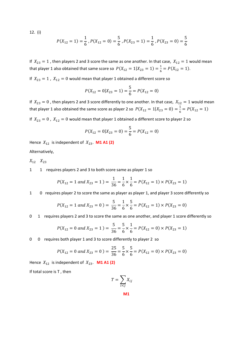12. (i)

$$
P(X_{12} = 1) = \frac{1}{6}, P(X_{12} = 0) = \frac{5}{6}, P(X_{23} = 1) = \frac{1}{6}, P(X_{23} = 0) = \frac{5}{6}
$$

If  $X_{23} = 1$ , then players 2 and 3 score the same as one another. In that case,  $X_{12} = 1$  would mean that player 1 also obtained that same score so  $P(X_{12} = 1 | X_{23} = 1) = \frac{1}{6} = P(X_{12} = 1)$ .

If  $X_{23} = 1$ ,  $X_{12} = 0$  would mean that player 1 obtained a different score so

$$
P(X_{12} = 0 | X_{23} = 1) = \frac{5}{6} = P(X_{12} = 0)
$$

If  $X_{23} = 0$ , then players 2 and 3 score differently to one another. In that case,  $X_{12} = 1$  would mean that player 1 also obtained the same score as player 2 so  $P(X_{12} = 1 | X_{23} = 0) = \frac{1}{6} = P(X_{12} = 1)$ 

If  $X_{23} = 0$ ,  $X_{12} = 0$  would mean that player 1 obtained a different score to player 2 so

$$
P(X_{12} = 0 | X_{23} = 0) = \frac{5}{6} = P(X_{12} = 0)
$$

Hence  $X_{12}$  is independent of  $X_{23}$ . **M1 A1 (2)** Alternatively,

 $X_{12}$   $X_{23}$ 

1 1 requires players 2 and 3 to both score same as player 1 so

$$
P(X_{12} = 1 \text{ and } X_{23} = 1) = \frac{1}{36} = \frac{1}{6} \times \frac{1}{6} = P(X_{12} = 1) \times P(X_{23} = 1)
$$

1 0 requires player 2 to score the same as player as player 1, and player 3 score differently so

$$
P(X_{12} = 1 \text{ and } X_{23} = 0) = \frac{5}{36} = \frac{1}{6} \times \frac{5}{6} = P(X_{12} = 1) \times P(X_{23} = 0)
$$

0 1 requires players 2 and 3 to score the same as one another, and player 1 score differently so

$$
P(X_{12} = 0 \text{ and } X_{23} = 1) = \frac{5}{36} = \frac{5}{6} \times \frac{1}{6} = P(X_{12} = 0) \times P(X_{23} = 1)
$$

0 0 requires both player 1 and 3 to score differently to player 2 so

$$
P(X_{12} = 0 \text{ and } X_{23} = 0) = \frac{25}{36} = \frac{5}{6} \times \frac{5}{6} = P(X_{12} = 0) \times P(X_{23} = 0)
$$

Hence  $X_{12}$  is independent of  $X_{23}$ . **M1 A1 (2)** 

If total score is T , then

$$
T = \sum_{i < j} X_{ij}
$$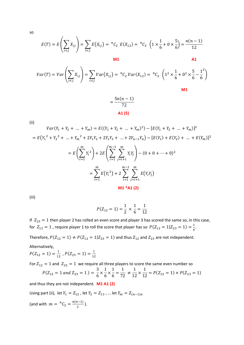so

$$
E(T) = E\left(\sum_{i < j} X_{ij}\right) = \sum_{i < j} E(X_{ij}) = {}^{n}C_{2} E(X_{12}) = {}^{n}C_{2} \left(1 \times \frac{1}{6} + 0 \times \frac{5}{6}\right) = \frac{n(n-1)}{12}
$$

**M1** A1

**M1** 

$$
Var(T) = Var\left(\sum_{i < j} X_{ij}\right) = \sum_{i < j} Var(X_{ij}) = \binom{n}{2} Var(X_{12}) = \binom{n}{2} \left(1^2 \times \frac{1}{6} + 0^2 \times \frac{5}{6} - \frac{1^2}{6}\right)
$$

$$
=\frac{5n(n-1)}{72}
$$
  
**A1 (5)**

(ii)

$$
Var(Y_1 + Y_2 + ... + Y_m) = E((Y_1 + Y_2 + ... + Y_m)^2) - [E(Y_1 + Y_2 + ... + Y_m)]^2
$$
  
=  $E(Y_1^2 + Y_2^2 + ... + Y_m^2 + 2Y_1Y_2 + 2Y_1Y_3 + ... + 2Y_{n-1}Y_n) - [E(Y_1) + E(Y_2) + ... + E(Y_m)]^2$   
=  $E\left(\sum_{i=1}^m Y_i^2\right) + 2E\left(\sum_{i=1}^{m-1} \sum_{j=i+1}^m Y_iY_j\right) - (0 + 0 + ... + 0)^2$   
=  $\sum_{i=1}^m E(Y_i^2) + 2\sum_{i=1}^{m-1} \sum_{j=i+1}^m E(Y_iY_j)$   
M1 \* A1 (2)

(iii)

$$
P(Z_{12} = 1) = \frac{1}{2} \times \frac{1}{6} = \frac{1}{12}
$$

If  $Z_{23} = 1$  then player 2 has rolled an even score and player 3 has scored the same so, in this case, for  $Z_{12} = 1$  , require player 1 to roll the score that player has so  $P(Z_{12} = 1|Z_{23} = 1) = \frac{1}{6}$ .

Therefore,  $P(Z_{12} = 1) \neq P(Z_{12} = 1 | Z_{23} = 1)$  and thus  $Z_{12}$  and  $Z_{23}$  are not independent.

Alternatively,

$$
P(Z_{12} = 1) = \frac{1}{12}, P(Z_{23} = 1) = \frac{1}{12}
$$

For  $Z_{12} = 1$  and  $Z_{23} = 1$  we require all three players to score the same even number so  $P(Z_{12} = 1 \text{ and } Z_{23} = 1) = \frac{3}{6} \times$ 1  $\frac{1}{6}$   $\times$  $\frac{1}{6} = \frac{1}{72}$   $\neq$ 1  $\frac{1}{12}$   $\times$  $\frac{1}{12}$  =  $P(Z_{12} = 1) \times P(Z_{23} = 1)$ and thus they are not independent. **M1 A1 (2)**

Using part (ii), let  $Y_1 = Z_{12}$ , let  $Y_2 = Z_{13}$ , ... let  $Y_m = Z_{(n-1)n}$ 

(and with  $m = {}^{n}C_2 = \frac{n(n-1)}{2}$ ).